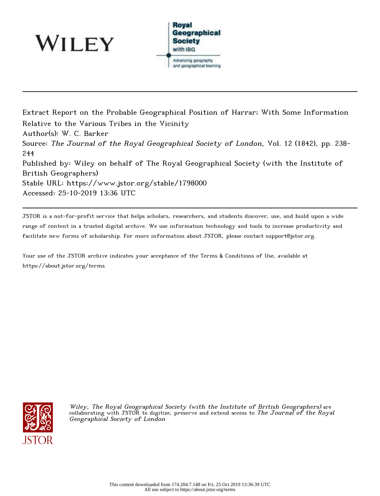

WILEY

Extract Report on the Probable Geographical Position of Harrar; With Some Information Relative to the Various Tribes in the Vicinity Author(s): W. C. Barker Source: The Journal of the Royal Geographical Society of London, Vol. 12 (1842), pp. 238- 244 Published by: Wiley on behalf of The Royal Geographical Society (with the Institute of British Geographers) Stable URL: https://www.jstor.org/stable/1798000 Accessed: 25-10-2019 13:36 UTC

JSTOR is a not-for-profit service that helps scholars, researchers, and students discover, use, and build upon a wide range of content in a trusted digital archive. We use information technology and tools to increase productivity and facilitate new forms of scholarship. For more information about JSTOR, please contact support@jstor.org.

Your use of the JSTOR archive indicates your acceptance of the Terms & Conditions of Use, available at https://about.jstor.org/terms



Wiley, The Royal Geographical Society (with the Institute of British Geographers) are collaborating with JSTOR to digitize, preserve and extend access to *The Journal of the Royal* Geographical Society of London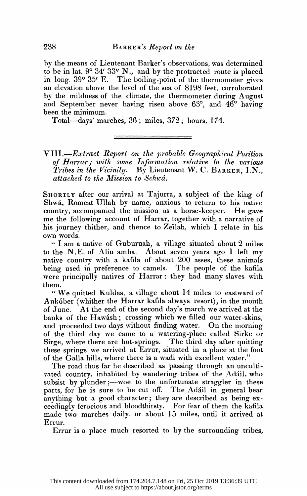by the means of Lieutenant Barker's observations, was determined to be in lat.  $9^{\circ}$   $34'$   $33''$  N., and by the protracted route is placed in long. 39° 35' E. The boiling-point of the thermometer gives an elevation above the level of the sea of 8198 feet, corroborated by the mildness of the climate, the thermometer during August and September never having risen above  $63^\circ$ , and  $46^\circ$  having been the minimum.

Total-days' marches, 36; miles, 372; hours, 174.

.

 $VIII. - Extract\; Report\; on\; the\; probable\; Geographical\; Position$ of Harrar; with some Information relative to the various Tribes in the Vicinity. By Lieutenant W. C. BARKER, I.N., attached to the Mission to Schwá.

SHORTLY after our arrival at Tajurra, a subject of the king of Shwa, Romeat Ullah by name, anxious to return to his native country, accompanied the mission as a horse-keeper. He gave me the following account of Harrar, together with a narrative of his journey thither, and thence to Zeilah, which I relate in his own words.

 $\lq$  I am a native of Guburuah, a village situated about 2 miles to the N.E. of Aliu amba. About seven years ago I left my native country with a kafila of about 200 asses, these animals being used in preference to camels. The people of the kafila were principally natives of Harrar: they had many slaves with them.

" We quitted Kuldas, a village about  $14$  miles to eastward of Ankóber (whither the Harrar kafila always resort), in the month of June. At the end of the second day's march we arrived at the banks of the Hawásh; crossing which we filled our water-skins, and proceeded two days without finding water. On the morning of the third day we came to a watering-place called Sirke or Sirge, where there are hot-springs. The third day after quitting these springs we arrived at Errur, situated in a place at the foot of the Galla hills, where there is a wadi with excellent water."

The road thus far he described as passing through an uncultivated country, inhabited by wandering tribes of the Adáil, who subsist by plunder;—woe to the unfortunate straggler in these parts, for he is sure to be cut off. The Adail in general bear anything but a good character; they are described as being ex ceedingly ferocious and bloodthirsty. For fear of them the kafila made two marches daily, or about 15 miles, until it arrived at Errur.

Errur is a place much resorted to by the surrounding tribes,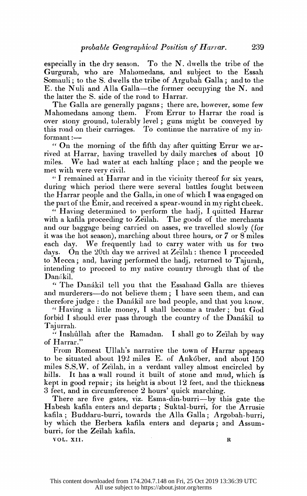especially in the dry season. To the  $N$ . dwells the tribe of the Gurgurah, who are Mahomedans, and subject to the Essah Somauli; to the S. dwells the tribe of Argubah Galla; and to the E. the Nuli and Alla Galla—the former occupying the N. and the latter the S. side of the road to Harrar.

The Galla are generally pagans; there are, however, some few Mahomedans among them. From Errur to Harrar the road is over stony ground, tolerably level; guns might be conveyed by this road on their carriages. To continue the narrative of my informant:-

 " On the morning of the fifth day after quitting Errur we ar rived at Harrar, having travelled by daily marches of about 10 miles. We had water at each halting place; and the people we met with were very civil.

" I remained at Harrar and in the vicinity thereof for six years, during which period there were several battles fought between the Harrar people and the Galla, in one of which I was engaged on the part of the Emir, and received a spear-wound in my right cheek.

" Having determined to perform the hadj, I quitted Harrar with a kafila proceeding to Zeilah. The goods of the merchants and our baggage being carried on asses, we travelled slowly (for it was the hot season), marching about three hours, or 7 or 8 miles each day. We frequently had to carry water with us for two days. On the 20th day we arrived at Zeilah: thence I proceeded to Mecca; and, having performed the hadj, returned to Tajurah, intending to proceed to my native country through that of the Danákil.

" The Danákil tell you that the Essahaad Galla are thieves and murderers—do not believe them; I have seen them, and can therefore judge: the Danákil are bad people, and that you know.

" Having a little money, I shall become a trader; but God forbid I should ever pass through the country of the Danákil to Tajurrah.

" Inshullah after the Ramadan. I shall go to Zeilah by way of Harrar."

 From Romeat Ullah's narrative the town of Harrar appears to be situated about 192 miles E. of Ankober, and about 150 miles S.S.W. of Zeilah, in a verdant valley almost encircled by hills. It has a wall round it built of stone and mud, which is kept in good repair; its height is about 12 feet, and the thickness 3 feet, and in eireumference 2 hours' quiek marehing.

There are five gates, viz. Esma-din-burri-by this gate the Habesh kafila enters and departs; Suktal-burri, for the Arrusie kafila; Buddaru-burri, towards the Alla Galla; Argobah-burri, by which the Berbera kafila enters and departs; and Assumburri, for the Zeïlah kafila.<br>
vOL. XII. burri, for the Zeilah kafila.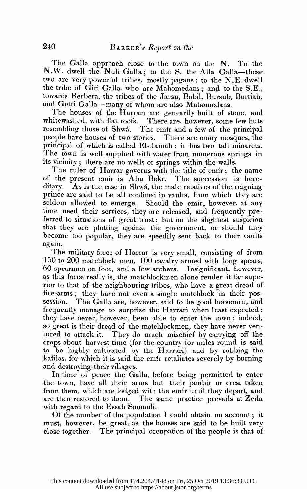The Galla approach close to the town on the N. To the N.W. dwell the Nuli Galla; to the S. the Alla Galla-these two are very powerful tribes, mostly pagans; to the  $N.E.$  dwell the tribe of Giri Galla, who are Mahomedans; and to the S.E., towards Berbera, the tribes of the Jarsu, Babil, Bursub, Burtiah, and Gotti Galla—many of whom are also Mahomedans.

 The houses of the Harrari are genearlly built of stone, and whitewashed, with flat roofs. There are, however, some few huts resembling those of Shwa. The emir and a few of the principal people have houses of two stories. There are many mosques, the prineipal of which is called El-Jamah: it has two tall minarets. The town is well supplied with water from numerous springs in its vicinity; there are no wells or springs within the walls. whitewashed, while hat fools. There are, however, some lew huis<br>resembling those of Shwá. The emir and a few of the principal<br>people have houses of two stories. There are many mosques, the<br>principal of which is called El-J Figure 1.1 The emir and a rew of the principal<br>ople have houses of two stories. There are many mosques, the<br>incipal of which is called El-Jamah : it has two tall minarets.<br>the town is well supplied with water from numerous resembling those of Shwa. The emit and a few of the principal<br>people have houses of two stories. There are many mosques, the<br>principal of which is called El-Jamah : it has two tall minarets.<br>The town is well supplied with

The town is wen supplied with water from humerous springs in<br>its vicinity; there are no wells or springs within the walls.<br>The ruler of Harrar governs with the title of emir; the name<br>of the present emir is Abu Bekr. The s principal of which is called E1-Jaman: it has two tall miniatets.<br>The town is well supplied with water from numerous springs in<br>its vicinity; there are no wells or springs within the walls.<br>The ruler of Harrar governs with The ruler of Harrar governs with the title of emir; the name<br>of the present emir is Abu Bekr. The succession is here-<br>ditary. As is the case in Shwá, the male relatives of the reigning<br>prince are said to be all confined in its vicinity; there are no wells or springs within the walls.<br>The ruler of Harrar governs with the title of emir; the name<br>of the present emir is Abu Bekr. The succession is here-<br>ditary. As is the case in Shwá, the male r ditary. As is the case in Shwá, the male relatives of the reigning<br>prince are said to be all confined in vaults, from which they are<br>seldom allowed to emerge. Should the emir, however, at any<br>time need their services, they of the present entit is Abu Bekr. The succession is here-<br>ditary. As is the case in Shwá, the male relatives of the reigning<br>prince are said to be all confined in vaults, from which they are<br>seldom allowed to emerge. Shoul become too popular, they are speedily sent back to their vaults again. prince are said to be all confined in vaults, from which they are seldom allowed to emerge. Should the emir, however, at any time need their services, they are released, and frequently preferred to situations of great trus

The military force of Harrar is very small, consisting of from 150 to 20Q matchlock men, 100 cavalry armed with long spears, 60 spearmen on foot, and a few archers. Insignificant, however, as this force really is, the matchlockmen alone render it far supe rior to that of the neighbouring tribes) who have a great dread of fire-arms; they have not even a single matchlock in their pos session. The Galla are, however, said to be good horsemen, and frequently manage to surprise the Harrari when least expected: they have never, however, been able to enter the town; indeed, so great is their dread of the matchlockmen, they have never ventured to attack it. They do much mischief by carrying off the crops about harvest time (for the country for miles round is said to be highly cultivated by the Harrari) and by robbing the kafilas, for which it is said the emir retaliates severely by burning and destroying their villages.

 In time of peace the Galla, before being permitted to enter the town, have all their arms but their jambir or cresi taken from them, which are lodged with the emir until they depart, and are then restored to them. The same practice prevails at Zeila with regard to the Essah Somauli.

 Of the number of the population I could obtain no account; it must, however, be great, as the houses are said to be built very close together. The principal occupation of the people is that of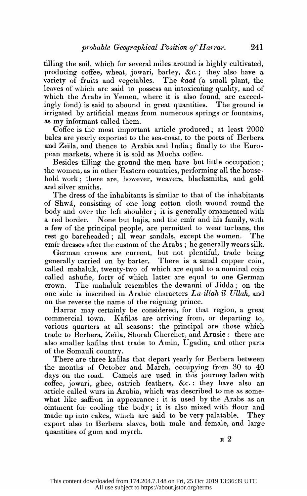tilling the soil, which for several miles around is highly cultivated, producing coffee, wheat, jowari, barley, &c.; they also have a variety of fruits and vegetables. The kaat (a small plant, the leaves of which are said to possess an intoxicating quality, and of which the Arabs in Yemen, where it is also found, are exceedingly fond) is said to abound in great quantities. The ground is irrigated by artificial means from numerous springs or fountains, as my informant called them.

Coffee is the most important article produced; at least  $2000$ bales are yearly exported to the sea-coast, to the ports of Berbera and Zeila, and thence to Arabia and India; finally to the European markets, where it is sold as Mocha coffee.

Besides tilling the ground the men have but little occupation; the women, as in other Eastern countries, performing all the house hold work; there are, however, weavers, blacksmiths, and gold and silver smiths.

 The dress of the inhabitants is similar to that of the inhabitants of Shwa, consisting of one long cotton cloth wound round the body and over the left shoulder; it is generally ornamented with a red border. None but hajis, and the emir and his family, with a few of the principal people, are permitted to wear turbans, the rest go bareheaded; all wear sandals, except the women. The emir dresses after the custom of the Arabs; he generally wears silk.

 German crowns are current, but not plentiful, trade being generally carried on by barter. called mahaluk, twenty-two of which are equal to a nominal coin called ashufie, forty of which latter are equal to one German crown. The mahaluk resembles the dewanni of Jidda; on the one side is inscribed in Arabic characters  $La$ -illah il Ullah, and on the reverse the name of the reigning prince.

 Harrar may certainly be considered, for that region, a great commercial town. Kafilas are arriving from, or departing to, various quarters at all seasons: the principal are those which trade to Berbera, Zeila, Shorah Chercher, and Arusie: there are also smaller kafilas that trade to Amin, Ugadin, and other parts of the Somauli country.

There are three katilas that depart yearly for Berbera between the months of October and March, occupying from  $30$  to  $40$ days on the road. Camels are used in this journey laden with coffee, jowari, ghee, ostrich feathers, &c.: they have also an article called wurs in Arabia, which was described to me as somewhat like saffron in appearance: it is used by the Arabs as an ointment for cooling the body; it is also mixed with flour and made up into cakes, which are said to be very palatable. They export also to Berbera slaves, both male and female, and large quantities of gum and myrrh.

 $\, {\bf R} \,$   $2$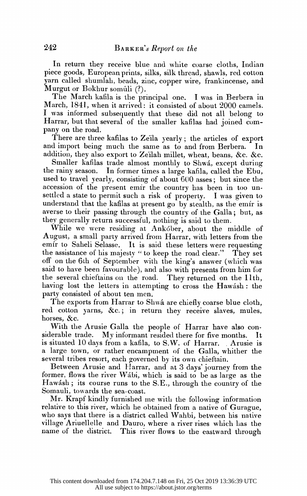In return they receive blue and white coarse cloths, Indian piece goods, European prints, silks, silk thread, shawls, red cotton yarn called shumlah, beads, zinc, copper wire, frankincense, and Murgut or Bokhur somúli (?).

The March kafila is the principal one. I was in Berbera in March, 1841, when it arrived: it consisted of about 2000 camels. I was informed subsequently that these did not all belong to Harrar, but that several of the smaller kafilas had joined company on the road.

There are three kafilas to Zeila yearly; the articles of export and import being much the same as to and from Berbera. In addition, they also export to Zeilah millet, wheat, beans, &c. &c.

Smaller kafilas trade almost monthly to Shwá, except during the rainy season. In former times a large kafila, called the Ebu, used to travel yearly, consisting of about  $600$  asses; but since the accession of the present emir the country has been in too un settled a state to permit such a risk of property. I was given to understand that the kafilas at present go by stealth, as the emir is averse to their passing through the country of the Galla; but, as they generally return successful, nothing is said to them.

While we were residing at Ankober, about the middle of August, a small party arrived from Harrar, with letters from the emir to Saheli Selasse. It is said these letters were requesting the assistance of his majesty " to keep the road clear." They set off on the 6th of September with the king's answer (which was said to have been favourable), and also with presents from him for the several chieftains on the road. They returned on the 11th, having lost the letters in attempting to cross the Hawash: the party consisted of about ten men.

The exports from Harrar to Shwa are chiefly coarse blue cloth, red cotton yarns, &c.; in return they receive slaves, mules, horses, &c.

 With the Arusie Galla the people of Harrar have also con siderable trade. My informant resided there for five months. It is situated 10 days from a kafila, to S.W. of Harrar. Arusie is a large town, or rather encampment of the Galla, whither the several tribes resort, each governed by its own chieftain.

Between Arusie and Harrar, and at 3 days' journey from the former, flows the river Wábi, which is said to be as large as the Hawásh; its course runs to the S.E., through the country of the Somauli, towards the sea-coast.

 Mr. Krapf kindly furnished me with the following information relative to this river, which he obtained from a native of Gurague, who says that there is a district called Wahbi, between his native village Ariuellelle and Dauro, where a river rises which has the name of the district. This river flows to the eastward through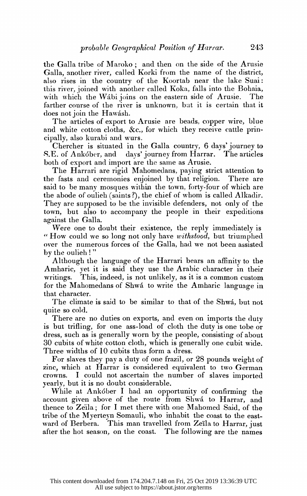the Galla tribe of Maroko; and then on the side of the Arusie Galla, another river, called Korki from the name of the district, also rises in the country of the Koortab near the lake Suai: this river, joined with another called Koka, falls into the Bohaia, with which the Wábi joins on the eastern side of Arusie. The farther course of the river is unknown, but it is certain that it does not join the Hawash.

The articles of export to Arusie are beads, copper wire, blue and white cotton cloths, &c., for which they receive cattle principally, also kurabi and wurs.

Chercher is situated in the Galla country,  $6$  days' journey to S.E. of Ankober, and days' journey from Harrar. The articles both of export and import are the same as Arusie.

The Harrari are rigid Mahomedans, paying strict attention to the fasts and ceremonies enjoined by that religion. There are said to be many mosques within the town, forty-four of which are the abode of oulieh (saints?), the chief of whom is called Alkadir. They are supposed to be the invisible defenders, not only of the town, but also to accompany the people in their expeditions against the Galla.

 Were one to doubt their existence, the reply immediately is " How could we so long not only have withstood, but triumphed over the numerous forces of the Galla, had we not been assisted by the oulieh ! "

Although the language of the Harrari bears an affinity to the Amharic, yet it is said they use the Arabic character in their writings. This, indeed, is not unlikely, as it is a common custom for the Mahomedans of Shwá to write the Amharic language in that character.

The climate is said to be similar to that of the Shwa, but not quite so cold.

There are no duties on exports, and even on imports the duty is but trifling, for one ass-load of cloth the duty is one tobe or dress, such as is generally worn by the people, consisting of about 30 cubits of white cotton cloth, which is generally one cubit wide. Three widths of 10 cubits thus form a dress.

 For slaves they pay a duty of one frazil, or 28 pounds weight of zinc, which at Harrar is considered equivalent to two German crowns. I could not ascertain the number of slaves imported yearly, but it is no doubt considerable.

While at Ankober I had an opportunity of confirming the account given above of the route from Shwa to Harrar, and thence to Zeila; for I met there with one Mahomed Said, of the tribe of the Myerteyn Somauli, who inhabit the coast to the eastward of Berbera. This man travelled from Zeila to Harrar, just after the hot season, on the coast. The following are the names